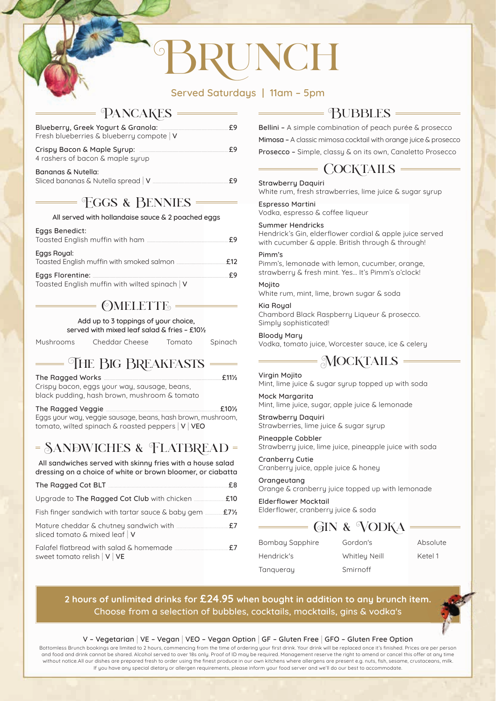# **UNCH**

#### Served Saturdays | 11am – 5pm

| PANCAKES |
|----------|
|----------|

| Blueberry, Greek Yogurt & Granola:<br>Fresh blueberries & blueberry compote   V |    |
|---------------------------------------------------------------------------------|----|
| Crispy Bacon & Maple Syrup:<br>4 rashers of bacon & maple surup                 | ғч |
| Bananas & Nutella:<br>Sliced bananas & Nutella spread   V                       |    |

#### $=$  FGGS & BENNIES  $=$ All served with hollandaise sauce & 2 poached eggs

| All set you with Hollumurise subce & Z pouched equs |  |
|-----------------------------------------------------|--|
| Eggs Benedict:                                      |  |

| Eggs Royal: | f12 |
|-------------|-----|
|             |     |
|             |     |

Toasted English muffin with wilted spinach  $\mid$  V

# $\bigcirc$ MELETTE $\bigleftarrows$

Add up to 3 toppings of your choice, served with mixed leaf salad & fries – £10½

Mushrooms Cheddar Cheese Tomato Spinach

| 51 II UUI I I S | CHEUUUL CHEESE | TUTHULU | υμι |
|-----------------|----------------|---------|-----|
|                 |                |         |     |
|                 |                |         |     |

# $\equiv$  The BIG BREAKFASTS =

The Ragged Works ...........................................................................................................................£11½ Crispy bacon, eggs your way, sausage, beans, black pudding, hash brown, mushroom & tomato

#### The Ragged Veggie .......................................................................................................................£10½

Eggs your way, veggie sausage, beans, hash brown, mushroom, tomato, wilted spinach & roasted peppers | V | VEO

# $=$  SANDWICHES & FLATBREAD  $=$

All sandwiches served with skinny fries with a house salad dressing on a choice of white or brown bloomer, or ciabatta

| The Ragged Cot BLT                                                                                     | £8  |
|--------------------------------------------------------------------------------------------------------|-----|
| Upgrade to The Ragged Cot Club with chicken                                                            | £10 |
| Fish finger sandwich with tartar sauce & baby gem $f_{22}$                                             |     |
| Mature cheddar & chutney sandwich with <b>matures and with</b><br>sliced tomato & mixed leaf $\sqrt{}$ | £7  |
| Falafel flatbread with salad & homemade<br>sweet tomato relish $ V VE$                                 |     |

## = <sup>6</sup>BUBBLES =

Bellini – A simple combination of peach purée & prosecco Mimosa – A classic mimosa cocktail with orange juice & prosecco Prosecco – Simple, classy & on its own, Canaletto Prosecco

# $=$  COCKTAILS  $=$

Strawberry Daquiri White rum, fresh strawberries, lime juice & sugar syrup

Espresso Martini

Vodka, espresso & coffee liqueur

#### Summer Hendricks

Hendrick's Gin, elderflower cordial & apple juice served with cucumber & apple. British through & through!

#### Pimm's

Pimm's, lemonade with lemon, cucumber, orange, strawberry & fresh mint. Yes... It's Pimm's o'clock!

#### Mojito

White rum, mint, lime, brown sugar & soda

#### Kia Roual

Chambord Black Raspberry Liqueur & prosecco. Simply sophisticated!

#### **Bloodu Maru**

Vodka, tomato juice, Worcester sauce, ice & celery

# $=$  MOCKTAILS  $=$

Virgin Mojito Mint, lime juice & sugar syrup topped up with soda

Mock Margarita Mint, lime juice, sugar, apple juice & lemonade

Strawberry Daquiri Strawberries, lime juice & sugar surup

Pineapple Cobbler Strawberry juice, lime juice, pineapple juice with soda

Cranberry Cutie Cranberry juice, apple juice & honey

Orangeutang Orange & cranberry juice topped up with lemonade

Elderflower Mocktail Elderflower, cranberry juice & soda

### $\overline{\phantom{0}}$  GIN & VODKA  $\overline{\phantom{0}}$ Gordon's

Whitley Neill Smirnoff

Bombay Sapphire Hendrick's **Tanqueray** 

Absolute Ketel 1

#### **2 hours of unlimited drinks for £24.95 when bought in addition to any brunch item.** Choose from a selection of bubbles, cocktails, mocktails, gins & vodka's

#### V – Vegetarian | VE – Vegan | VEO – Vegan Option | GF – Gluten Free | GFO – Gluten Free Option

Bottomless Brunch bookings are limited to 2 hours, commencing from the time of ordering your first drink. Your drink will be replaced once it's finished. Prices are per person and food and drink cannot be shared. Alcohol served to over 18s only. Proof of ID may be required. Management reserve the right to amend or cancel this offer at any time without notice.All our dishes are prepared fresh to order using the finest produce in our own kitchens where allergens are present e.g. nuts, fish, sesame, crustaceans, milk. If you have any special dietary or allergen requirements, please inform your food server and we'll do our best to accommodate